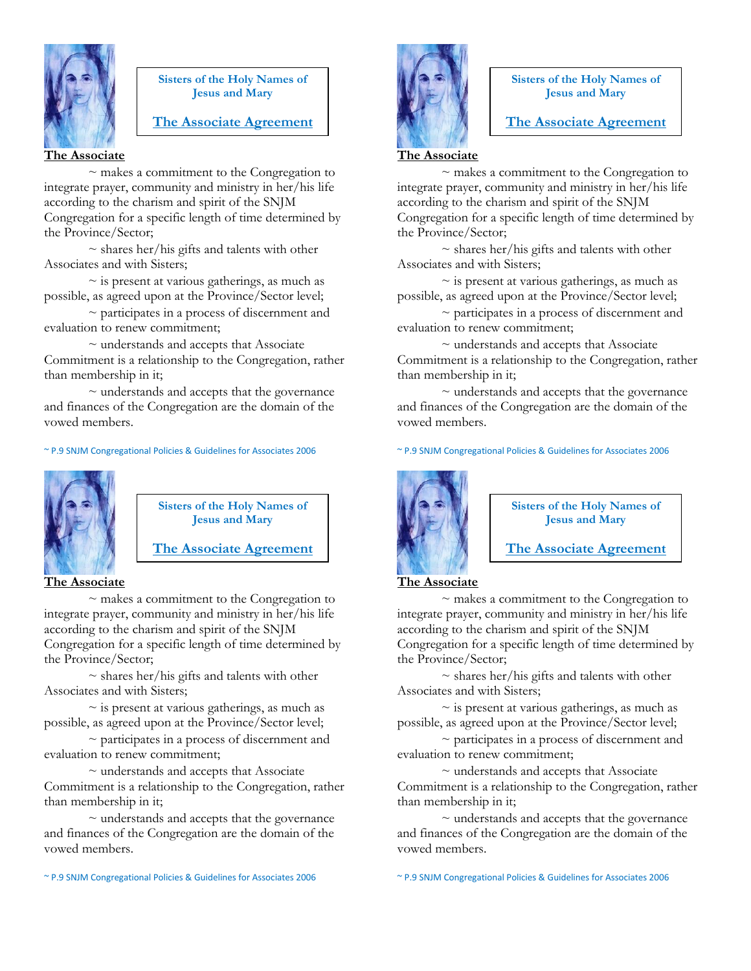

#### **Sisters of the Holy Names of Jesus and Mary**

# **The Associate Agreement**

**The Associate** 

~ makes a commitment to the Congregation to integrate prayer, community and ministry in her/his life according to the charism and spirit of the SNJM Congregation for a specific length of time determined by the Province/Sector;

 $\sim$  shares her/his gifts and talents with other Associates and with Sisters;

 $\sim$  is present at various gatherings, as much as possible, as agreed upon at the Province/Sector level;

 $\sim$  participates in a process of discernment and evaluation to renew commitment;

 $\sim$  understands and accepts that Associate Commitment is a relationship to the Congregation, rather than membership in it;

 $\sim$  understands and accepts that the governance and finances of the Congregation are the domain of the vowed members.

#### ~ P.9 SNJM Congregational Policies & Guidelines for Associates 2006



**Sisters of the Holy Names of Jesus and Mary**

**The Associate Agreement**

**The Associate** 

 $\sim$  makes a commitment to the Congregation to integrate prayer, community and ministry in her/his life according to the charism and spirit of the SNJM Congregation for a specific length of time determined by the Province/Sector;

 $\sim$  shares her/his gifts and talents with other Associates and with Sisters;

 $\sim$  is present at various gatherings, as much as possible, as agreed upon at the Province/Sector level;

~ participates in a process of discernment and evaluation to renew commitment;

 $\sim$  understands and accepts that Associate Commitment is a relationship to the Congregation, rather than membership in it;

 $\sim$  understands and accepts that the governance and finances of the Congregation are the domain of the vowed members.

~ P.9 SNJM Congregational Policies & Guidelines for Associates 2006



**Sisters of the Holy Names of Jesus and Mary**

**The Associate Agreement**

#### **The Associate**

 $\sim$  makes a commitment to the Congregation to integrate prayer, community and ministry in her/his life according to the charism and spirit of the SNJM Congregation for a specific length of time determined by the Province/Sector;

 $\sim$  shares her/his gifts and talents with other Associates and with Sisters;

 $\sim$  is present at various gatherings, as much as possible, as agreed upon at the Province/Sector level;

 $\sim$  participates in a process of discernment and evaluation to renew commitment;

 $\sim$  understands and accepts that Associate Commitment is a relationship to the Congregation, rather than membership in it;

 $\sim$  understands and accepts that the governance and finances of the Congregation are the domain of the vowed members.

~ P.9 SNJM Congregational Policies & Guidelines for Associates 2006



**Sisters of the Holy Names of Jesus and Mary**

**The Associate Agreement**

#### **The Associate**

~ makes a commitment to the Congregation to integrate prayer, community and ministry in her/his life according to the charism and spirit of the SNJM Congregation for a specific length of time determined by the Province/Sector;

 $\sim$  shares her/his gifts and talents with other Associates and with Sisters;

 $\sim$  is present at various gatherings, as much as possible, as agreed upon at the Province/Sector level;

~ participates in a process of discernment and evaluation to renew commitment;

 $\sim$  understands and accepts that Associate Commitment is a relationship to the Congregation, rather than membership in it;

 $\sim$  understands and accepts that the governance and finances of the Congregation are the domain of the vowed members.

~ P.9 SNJM Congregational Policies & Guidelines for Associates 2006